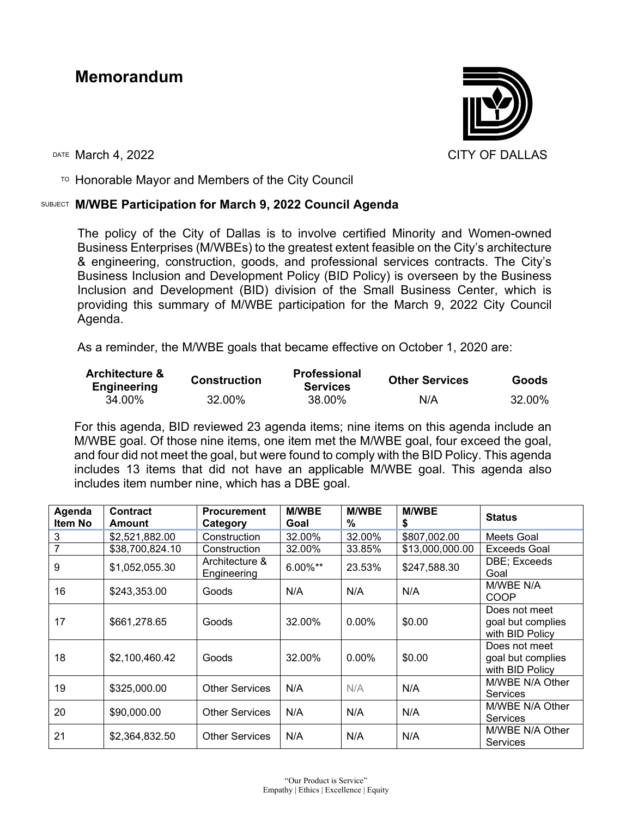# **Memorandum**



 $T$ <sup>O</sup> Honorable Mayor and Members of the City Council

## SUBJECT **M/WBE Participation for March 9, 2022 Council Agenda**

The policy of the City of Dallas is to involve certified Minority and Women-owned Business Enterprises (M/WBEs) to the greatest extent feasible on the City's architecture & engineering, construction, goods, and professional services contracts. The City's Business Inclusion and Development Policy (BID Policy) is overseen by the Business Inclusion and Development (BID) division of the Small Business Center, which is providing this summary of M/WBE participation for the March 9, 2022 City Council Agenda.

As a reminder, the M/WBE goals that became effective on October 1, 2020 are:

| <b>Architecture &amp;</b><br><b>Engineering</b> | <b>Construction</b> | <b>Professional</b><br><b>Services</b> | <b>Other Services</b> | Goods  |  |
|-------------------------------------------------|---------------------|----------------------------------------|-----------------------|--------|--|
| 34.00%                                          | 32.00%              | 38.00%                                 | N/A                   | 32.00% |  |

For this agenda, BID reviewed 23 agenda items; nine items on this agenda include an M/WBE goal. Of those nine items, one item met the M/WBE goal, four exceed the goal, and four did not meet the goal, but were found to comply with the BID Policy. This agenda includes 13 items that did not have an applicable M/WBE goal. This agenda also includes item number nine, which has a DBE goal.

| Agenda<br>Item No | <b>Contract</b><br>Amount | <b>Procurement</b><br>Category | <b>M/WBE</b><br>Goal | <b>M/WBE</b><br>% | <b>M/WBE</b><br>\$ | <b>Status</b>                                         |
|-------------------|---------------------------|--------------------------------|----------------------|-------------------|--------------------|-------------------------------------------------------|
| 3                 | \$2,521,882.00            | Construction                   | 32.00%               | 32.00%            | \$807,002.00       | Meets Goal                                            |
|                   | \$38,700,824.10           | Construction                   | 32.00%               | 33.85%            | \$13,000,000.00    | Exceeds Goal                                          |
| 9                 | \$1,052,055.30            | Architecture &<br>Engineering  | $6.00\%$ **          | 23.53%            | \$247,588.30       | DBE; Exceeds<br>Goal                                  |
| 16                | \$243,353.00              | Goods                          | N/A                  | N/A               | N/A                | M/WBE N/A<br>COOP                                     |
| 17                | \$661,278.65              | Goods                          | 32.00%               | $0.00\%$          | \$0.00             | Does not meet<br>goal but complies<br>with BID Policy |
| 18                | \$2,100,460.42            | Goods                          | 32.00%               | $0.00\%$          | \$0.00             | Does not meet<br>goal but complies<br>with BID Policy |
| 19                | \$325,000.00              | <b>Other Services</b>          | N/A                  | N/A               | N/A                | M/WBE N/A Other<br><b>Services</b>                    |
| 20                | \$90,000.00               | <b>Other Services</b>          | N/A                  | N/A               | N/A                | M/WBE N/A Other<br><b>Services</b>                    |
| 21                | \$2,364,832.50            | <b>Other Services</b>          | N/A                  | N/A               | N/A                | M/WBE N/A Other<br>Services                           |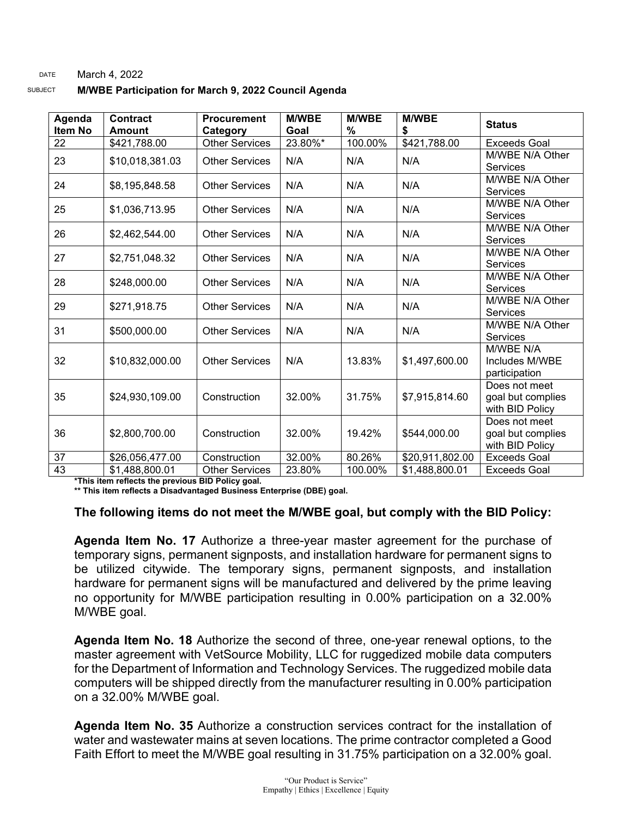#### DATE March 4, 2022

| SUBJECT | M/WBE Participation for March 9, 2022 Council Agenda |
|---------|------------------------------------------------------|
|         |                                                      |

| Agenda<br><b>Item No</b> | <b>Contract</b><br><b>Amount</b> | <b>Procurement</b><br>Category | <b>M/WBE</b><br>Goal | <b>M/WBE</b><br>% | <b>M/WBE</b><br>\$ | <b>Status</b>                                         |
|--------------------------|----------------------------------|--------------------------------|----------------------|-------------------|--------------------|-------------------------------------------------------|
| 22                       | \$421,788.00                     | <b>Other Services</b>          | 23.80%*              | 100.00%           | \$421,788.00       | <b>Exceeds Goal</b>                                   |
| 23                       | \$10,018,381.03                  | <b>Other Services</b>          | N/A                  | N/A               | N/A                | M/WBE N/A Other<br><b>Services</b>                    |
| 24                       | \$8,195,848.58                   | <b>Other Services</b>          | N/A                  | N/A               | N/A                | M/WBE N/A Other<br>Services                           |
| 25                       | \$1,036,713.95                   | <b>Other Services</b>          | N/A                  | N/A               | N/A                | M/WBE N/A Other<br><b>Services</b>                    |
| 26                       | \$2,462,544.00                   | <b>Other Services</b>          | N/A                  | N/A               | N/A                | M/WBE N/A Other<br><b>Services</b>                    |
| 27                       | \$2,751,048.32                   | <b>Other Services</b>          | N/A                  | N/A               | N/A                | M/WBE N/A Other<br><b>Services</b>                    |
| 28                       | \$248,000.00                     | <b>Other Services</b>          | N/A                  | N/A               | N/A                | M/WBE N/A Other<br><b>Services</b>                    |
| 29                       | \$271,918.75                     | <b>Other Services</b>          | N/A                  | N/A               | N/A                | M/WBE N/A Other<br><b>Services</b>                    |
| 31                       | \$500,000.00                     | <b>Other Services</b>          | N/A                  | N/A               | N/A                | M/WBE N/A Other<br><b>Services</b>                    |
| 32                       | \$10,832,000.00                  | <b>Other Services</b>          | N/A                  | 13.83%            | \$1,497,600.00     | M/WBE N/A<br>Includes M/WBE<br>participation          |
| 35                       | \$24,930,109.00                  | Construction                   | 32.00%               | 31.75%            | \$7,915,814.60     | Does not meet<br>goal but complies<br>with BID Policy |
| 36                       | \$2,800,700.00                   | Construction                   | 32.00%               | 19.42%            | \$544,000.00       | Does not meet<br>goal but complies<br>with BID Policy |
| 37                       | \$26,056,477.00                  | Construction                   | 32.00%               | 80.26%            | \$20,911,802.00    | <b>Exceeds Goal</b>                                   |
| 43                       | \$1,488,800.01                   | <b>Other Services</b>          | 23.80%               | 100.00%           | \$1,488,800.01     | <b>Exceeds Goal</b>                                   |

**\*This item reflects the previous BID Policy goal.**

**\*\* This item reflects a Disadvantaged Business Enterprise (DBE) goal.**

#### **The following items do not meet the M/WBE goal, but comply with the BID Policy:**

**Agenda Item No. 17** Authorize a three-year master agreement for the purchase of temporary signs, permanent signposts, and installation hardware for permanent signs to be utilized citywide. The temporary signs, permanent signposts, and installation hardware for permanent signs will be manufactured and delivered by the prime leaving no opportunity for M/WBE participation resulting in 0.00% participation on a 32.00% M/WBE goal.

**Agenda Item No. 18** Authorize the second of three, one-year renewal options, to the master agreement with VetSource Mobility, LLC for ruggedized mobile data computers for the Department of Information and Technology Services. The ruggedized mobile data computers will be shipped directly from the manufacturer resulting in 0.00% participation on a 32.00% M/WBE goal.

**Agenda Item No. 35** Authorize a construction services contract for the installation of water and wastewater mains at seven locations. The prime contractor completed a Good Faith Effort to meet the M/WBE goal resulting in 31.75% participation on a 32.00% goal.